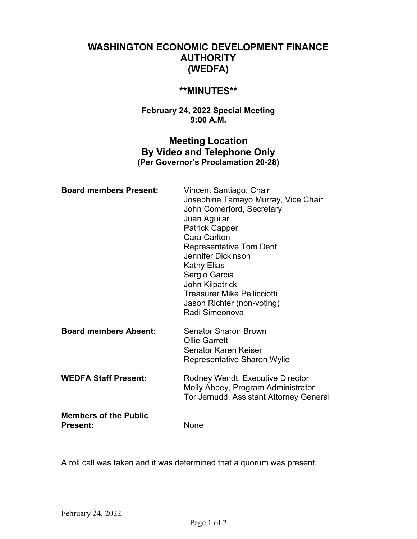# **WASHINGTON ECONOMIC DEVELOPMENT FINANCE AUTHORITY (WEDFA)**

# **\*\*MINUTES\*\***

### **February 24, 2022 Special Meeting 9:00 A.M.**

# **Meeting Location By Video and Telephone Only (Per Governor's Proclamation 20-28)**

| <b>Board members Present:</b>                   | Vincent Santiago, Chair<br>Josephine Tamayo Murray, Vice Chair<br>John Comerford, Secretary<br>Juan Aguilar<br><b>Patrick Capper</b><br><b>Cara Carlton</b><br><b>Representative Tom Dent</b><br>Jennifer Dickinson<br><b>Kathy Elias</b><br>Sergio Garcia<br>John Kilpatrick<br><b>Treasurer Mike Pellicciotti</b><br>Jason Richter (non-voting)<br>Radi Simeonova |
|-------------------------------------------------|---------------------------------------------------------------------------------------------------------------------------------------------------------------------------------------------------------------------------------------------------------------------------------------------------------------------------------------------------------------------|
| <b>Board members Absent:</b>                    | <b>Senator Sharon Brown</b><br><b>Ollie Garrett</b><br>Senator Karen Keiser<br><b>Representative Sharon Wylie</b>                                                                                                                                                                                                                                                   |
| <b>WEDFA Staff Present:</b>                     | Rodney Wendt, Executive Director<br>Molly Abbey, Program Administrator<br>Tor Jernudd, Assistant Attorney General                                                                                                                                                                                                                                                   |
| <b>Members of the Public</b><br><b>Present:</b> | None                                                                                                                                                                                                                                                                                                                                                                |

A roll call was taken and it was determined that a quorum was present.